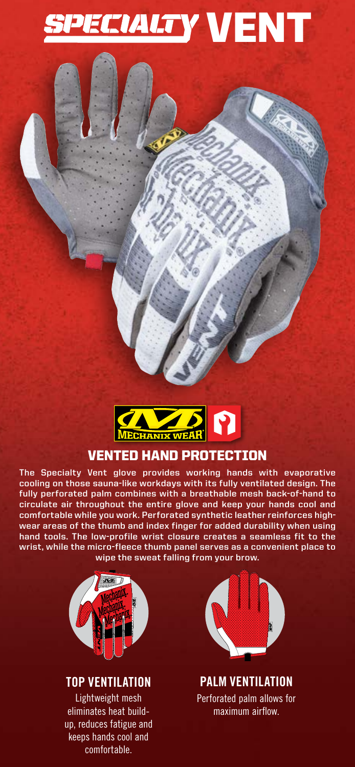



# VENTED HAND PROTECTION

**The Specialty Vent glove provides working hands with evaporative cooling on those sauna-like workdays with its fully ventilated design. The fully perforated palm combines with a breathable mesh back-of-hand to circulate air throughout the entire glove and keep your hands cool and comfortable while you work. Perforated synthetic leather reinforces highwear areas of the thumb and index finger for added durability when using hand tools. The low-profile wrist closure creates a seamless fit to the wrist, while the micro-fleece thumb panel serves as a convenient place to wipe the sweat falling from your brow.**



# **TOP VENTILATION**

Lightweight mesh eliminates heat buildup, reduces fatigue and keeps hands cool and comfortable.



**PALM VENTILATION** Perforated palm allows for maximum airflow.